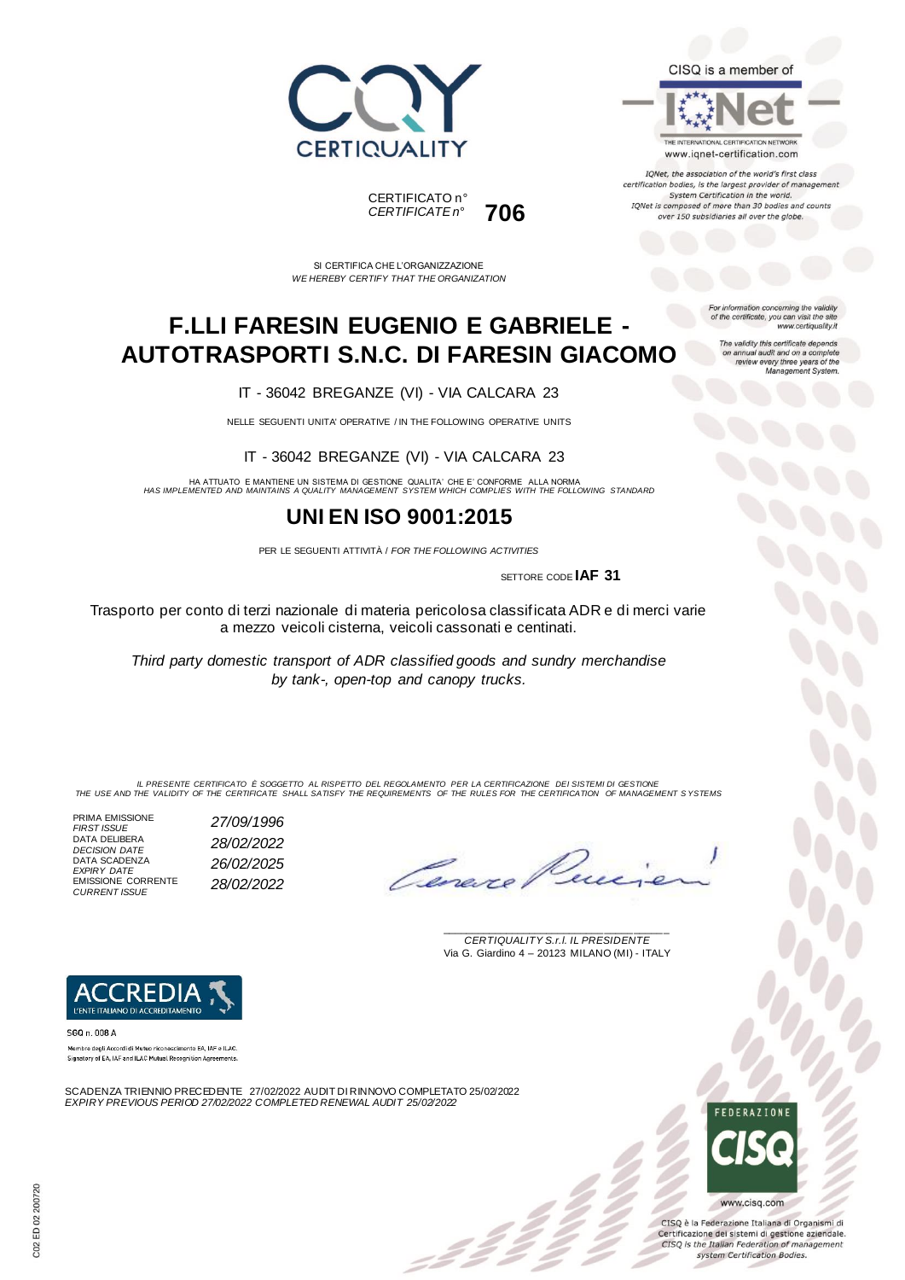



THE INTERNATIONAL CERTIFICATION NETWORK www.iqnet-certification.com

IQNet, the association of the world's first class certification bodies, is the largest provider of managemen System Certification in the world. IQNet is composed of more than 30 bodies and counts over 150 subsidiaries all over the globe.

CERTIFICATO n° *CERTIFICATE n°* **706**

SI CERTIFICA CHE L'ORGANIZZAZIONE *WE HEREBY CERTIFY THAT THE ORGANIZATION*

## **F.LLI FARESIN EUGENIO E GABRIELE - AUTOTRASPORTI S.N.C. DI FARESIN GIACOMO**

IT - 36042 BREGANZE (VI) - VIA CALCARA 23

NELLE SEGUENTI UNITA' OPERATIVE / IN THE FOLLOWING OPERATIVE UNITS

IT - 36042 BREGANZE (VI) - VIA CALCARA 23

HA ATTUATO E MANTIENE UN SISTEMA DI GESTIONE QUALITA' CHE E' CONFORME ALLA NORMA *HAS IMPLEMENTED AND MAINTAINS A QUALITY MANAGEMENT SYSTEM WHICH COMPLIES WITH THE FOLLOWING STANDARD*

### **UNI EN ISO 9001:2015**

PER LE SEGUENTI ATTIVITÀ / *FOR THE FOLLOWING ACTIVITIES*

SETTORE CODE **IAF 31**

Trasporto per conto di terzi nazionale di materia pericolosa classificata ADR e di merci varie a mezzo veicoli cisterna, veicoli cassonati e centinati.

*Third party domestic transport of ADR classified goods and sundry merchandise by tank-, open-top and canopy trucks.*

IL PRESENTE CERTIFICATO E SOGGETTO AL RISPETTO DEL REGOLAMENTO PER LA CERTIFICAZIONE DEI SISTEMI DI GESTIONE<br>THE USE AND THE VALIDITY OF THE CERTIFICATE SHALL SATISFY THE REQUIREMENTS OF THE RULES FOR THE CERTIFICATION OF

PRIMA EMISSIONE *FIRST ISSUE 27/09/1996* DATA DELIBERA *DECISION DATE 28/02/2022* DATA SCADENZA *EXPIRY DATE 26/02/2025* EMISSIONE CORRENTE *CURRENT ISSUE 28/02/2022*

Cene

\_\_\_\_\_\_\_\_\_\_\_\_\_\_\_\_\_\_\_\_\_\_\_\_\_\_\_\_\_\_\_\_\_\_\_\_\_\_\_ *CERTIQUALITY S.r.l. IL PRESIDENTE* Via G. Giardino 4 – 20123 MILANO (MI) - ITALY



Membro degli Accordi di Mutuo riconoscimento EA. IAF e ILAC. Signatory of EA, IAF and ILAC Mutual Recognition Agreements

SCADENZA TRIENNIO PRECEDENTE 27/02/2022 AUDIT DI RINNOVO COMPLETATO 25/02/2022 *EXPIRY PREVIOUS PERIOD 27/02/2022 COMPLETED RENEWAL AUDIT 25/02/2022*



CISQ è la Federazione Italiana di Organismi di Certificazione dei sistemi di gestione aziendale. CISQ is the Italian Federation of management system Certification Bodies.

For information concerning the validity<br>of the certificate, you can visit the site www.certiquality.it

The validity this certificate depends on annual audit and on a complete<br>review every three years of the<br>Management System.